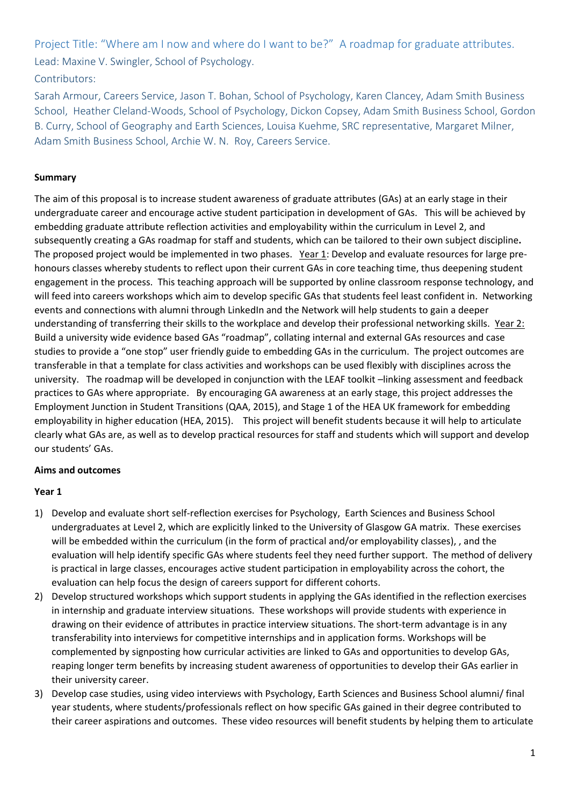Project Title: "Where am I now and where do I want to be?" A roadmap for graduate attributes. Lead: Maxine V. Swingler, School of Psychology.

# Contributors:

Sarah Armour, Careers Service, Jason T. Bohan, School of Psychology, Karen Clancey, Adam Smith Business School, Heather Cleland-Woods, School of Psychology, Dickon Copsey, Adam Smith Business School, Gordon B. Curry, School of Geography and Earth Sciences, Louisa Kuehme, SRC representative, Margaret Milner, Adam Smith Business School, Archie W. N. Roy, Careers Service.

## **Summary**

The aim of this proposal is to increase student awareness of graduate attributes (GAs) at an early stage in their undergraduate career and encourage active student participation in development of GAs. This will be achieved by embedding graduate attribute reflection activities and employability within the curriculum in Level 2, and subsequently creating a GAs roadmap for staff and students, which can be tailored to their own subject discipline**.**  The proposed project would be implemented in two phases. Year 1: Develop and evaluate resources for large prehonours classes whereby students to reflect upon their current GAs in core teaching time, thus deepening student engagement in the process. This teaching approach will be supported by online classroom response technology, and will feed into careers workshops which aim to develop specific GAs that students feel least confident in. Networking events and connections with alumni through LinkedIn and the Network will help students to gain a deeper understanding of transferring their skills to the workplace and develop their professional networking skills. Year 2: Build a university wide evidence based GAs "roadmap", collating internal and external GAs resources and case studies to provide a "one stop" user friendly guide to embedding GAs in the curriculum. The project outcomes are transferable in that a template for class activities and workshops can be used flexibly with disciplines across the university. The roadmap will be developed in conjunction with the LEAF toolkit –linking assessment and feedback practices to GAs where appropriate. By encouraging GA awareness at an early stage, this project addresses the Employment Junction in Student Transitions (QAA, 2015), and Stage 1 of the HEA UK framework for embedding employability in higher education (HEA, 2015). This project will benefit students because it will help to articulate clearly what GAs are, as well as to develop practical resources for staff and students which will support and develop our students' GAs.

### **Aims and outcomes**

### **Year 1**

- 1) Develop and evaluate short self-reflection exercises for Psychology, Earth Sciences and Business School undergraduates at Level 2, which are explicitly linked to the University of Glasgow GA matrix. These exercises will be embedded within the curriculum (in the form of practical and/or employability classes), , and the evaluation will help identify specific GAs where students feel they need further support. The method of delivery is practical in large classes, encourages active student participation in employability across the cohort, the evaluation can help focus the design of careers support for different cohorts.
- 2) Develop structured workshops which support students in applying the GAs identified in the reflection exercises in internship and graduate interview situations. These workshops will provide students with experience in drawing on their evidence of attributes in practice interview situations. The short-term advantage is in any transferability into interviews for competitive internships and in application forms. Workshops will be complemented by signposting how curricular activities are linked to GAs and opportunities to develop GAs, reaping longer term benefits by increasing student awareness of opportunities to develop their GAs earlier in their university career.
- 3) Develop case studies, using video interviews with Psychology, Earth Sciences and Business School alumni/ final year students, where students/professionals reflect on how specific GAs gained in their degree contributed to their career aspirations and outcomes. These video resources will benefit students by helping them to articulate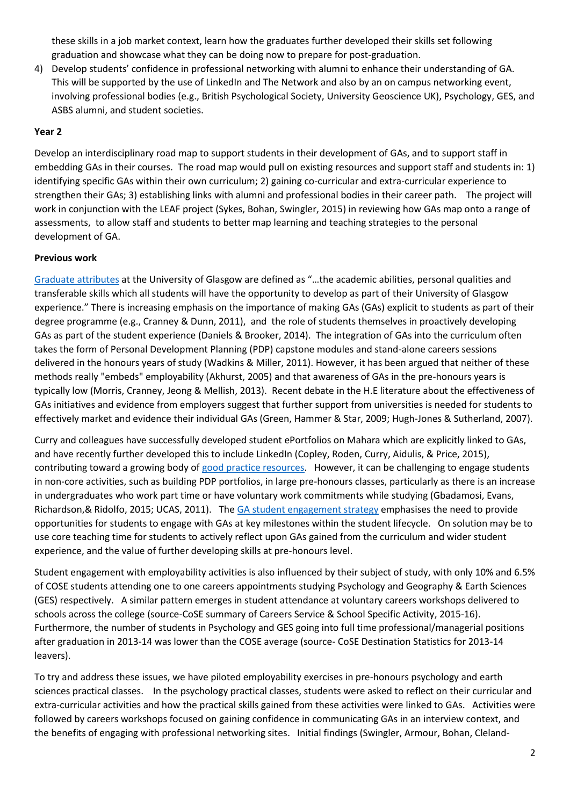these skills in a job market context, learn how the graduates further developed their skills set following graduation and showcase what they can be doing now to prepare for post-graduation.

4) Develop students' confidence in professional networking with alumni to enhance their understanding of GA. This will be supported by the use of LinkedIn and The Network and also by an on campus networking event, involving professional bodies (e.g., British Psychological Society, University Geoscience UK), Psychology, GES, and ASBS alumni, and student societies.

## **Year 2**

Develop an interdisciplinary road map to support students in their development of GAs, and to support staff in embedding GAs in their courses. The road map would pull on existing resources and support staff and students in: 1) identifying specific GAs within their own curriculum; 2) gaining co-curricular and extra-curricular experience to strengthen their GAs; 3) establishing links with alumni and professional bodies in their career path. The project will work in conjunction with the LEAF project (Sykes, Bohan, Swingler, 2015) in reviewing how GAs map onto a range of assessments, to allow staff and students to better map learning and teaching strategies to the personal development of GA.

### **Previous work**

[Graduate attributes](http://www.gla.ac.uk/students/attributes) at the University of Glasgow are defined as "…the academic abilities, personal qualities and transferable skills which all students will have the opportunity to develop as part of their University of Glasgow experience." There is increasing emphasis on the importance of making GAs (GAs) explicit to students as part of their degree programme (e.g., Cranney & Dunn, 2011), and the role of students themselves in proactively developing GAs as part of the student experience (Daniels & Brooker, 2014). The integration of GAs into the curriculum often takes the form of Personal Development Planning (PDP) capstone modules and stand-alone careers sessions delivered in the honours years of study (Wadkins & Miller, 2011). However, it has been argued that neither of these methods really "embeds" employability (Akhurst, 2005) and that awareness of GAs in the pre-honours years is typically low (Morris, Cranney, Jeong & Mellish, 2013). Recent debate in the H.E literature about the effectiveness of GAs initiatives and evidence from employers suggest that further support from universities is needed for students to effectively market and evidence their individual GAs (Green, Hammer & Star, 2009; Hugh-Jones & Sutherland, 2007).

Curry and colleagues have successfully developed student ePortfolios on Mahara which are explicitly linked to GAs, and have recently further developed this to include LinkedIn (Copley, Roden, Curry, Aidulis, & Price, 2015), contributing toward a growing body of [good practice resources.](http://www.gla.ac.uk/services/learningteaching/resourcesforstaff/goodpracticeresources/graduateattributesemployabilityandpdp/) However, it can be challenging to engage students in non-core activities, such as building PDP portfolios, in large pre-honours classes, particularly as there is an increase in undergraduates who work part time or have voluntary work commitments while studying (Gbadamosi, Evans, Richardson,& Ridolfo, 2015; UCAS, 2011). Th[e GA student engagement strategy](http://www.gla.ac.uk/media/media_272565_en.pdf) emphasises the need to provide opportunities for students to engage with GAs at key milestones within the student lifecycle. On solution may be to use core teaching time for students to actively reflect upon GAs gained from the curriculum and wider student experience, and the value of further developing skills at pre-honours level.

Student engagement with employability activities is also influenced by their subject of study, with only 10% and 6.5% of COSE students attending one to one careers appointments studying Psychology and Geography & Earth Sciences (GES) respectively. A similar pattern emerges in student attendance at voluntary careers workshops delivered to schools across the college (source-CoSE summary of Careers Service & School Specific Activity, 2015-16). Furthermore, the number of students in Psychology and GES going into full time professional/managerial positions after graduation in 2013-14 was lower than the COSE average (source- CoSE Destination Statistics for 2013-14 leavers).

To try and address these issues, we have piloted employability exercises in pre-honours psychology and earth sciences practical classes. In the psychology practical classes, students were asked to reflect on their curricular and extra-curricular activities and how the practical skills gained from these activities were linked to GAs. Activities were followed by careers workshops focused on gaining confidence in communicating GAs in an interview context, and the benefits of engaging with professional networking sites. Initial findings (Swingler, Armour, Bohan, Cleland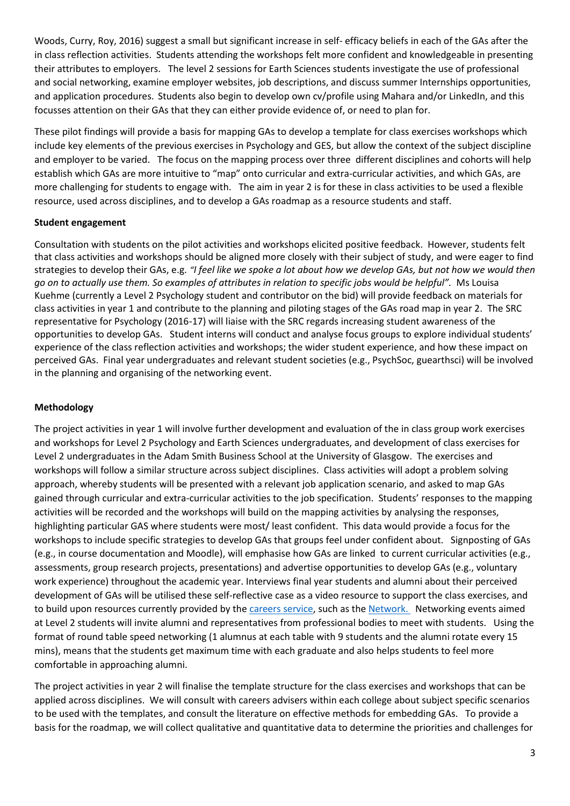Woods, Curry, Roy, 2016) suggest a small but significant increase in self- efficacy beliefs in each of the GAs after the in class reflection activities. Students attending the workshops felt more confident and knowledgeable in presenting their attributes to employers. The level 2 sessions for Earth Sciences students investigate the use of professional and social networking, examine employer websites, job descriptions, and discuss summer Internships opportunities, and application procedures. Students also begin to develop own cv/profile using Mahara and/or LinkedIn, and this focusses attention on their GAs that they can either provide evidence of, or need to plan for.

These pilot findings will provide a basis for mapping GAs to develop a template for class exercises workshops which include key elements of the previous exercises in Psychology and GES, but allow the context of the subject discipline and employer to be varied. The focus on the mapping process over three different disciplines and cohorts will help establish which GAs are more intuitive to "map" onto curricular and extra-curricular activities, and which GAs, are more challenging for students to engage with. The aim in year 2 is for these in class activities to be used a flexible resource, used across disciplines, and to develop a GAs roadmap as a resource students and staff.

### **Student engagement**

Consultation with students on the pilot activities and workshops elicited positive feedback. However, students felt that class activities and workshops should be aligned more closely with their subject of study, and were eager to find strategies to develop their GAs, e.g. *"I feel like we spoke a lot about how we develop GAs, but not how we would then go on to actually use them. So examples of attributes in relation to specific jobs would be helpful".* Ms Louisa Kuehme (currently a Level 2 Psychology student and contributor on the bid) will provide feedback on materials for class activities in year 1 and contribute to the planning and piloting stages of the GAs road map in year 2. The SRC representative for Psychology (2016-17) will liaise with the SRC regards increasing student awareness of the opportunities to develop GAs. Student interns will conduct and analyse focus groups to explore individual students' experience of the class reflection activities and workshops; the wider student experience, and how these impact on perceived GAs. Final year undergraduates and relevant student societies (e.g., PsychSoc, guearthsci) will be involved in the planning and organising of the networking event.

#### **Methodology**

The project activities in year 1 will involve further development and evaluation of the in class group work exercises and workshops for Level 2 Psychology and Earth Sciences undergraduates, and development of class exercises for Level 2 undergraduates in the Adam Smith Business School at the University of Glasgow. The exercises and workshops will follow a similar structure across subject disciplines. Class activities will adopt a problem solving approach, whereby students will be presented with a relevant job application scenario, and asked to map GAs gained through curricular and extra-curricular activities to the job specification. Students' responses to the mapping activities will be recorded and the workshops will build on the mapping activities by analysing the responses, highlighting particular GAS where students were most/ least confident. This data would provide a focus for the workshops to include specific strategies to develop GAs that groups feel under confident about. Signposting of GAs (e.g., in course documentation and Moodle), will emphasise how GAs are linked to current curricular activities (e.g., assessments, group research projects, presentations) and advertise opportunities to develop GAs (e.g., voluntary work experience) throughout the academic year. Interviews final year students and alumni about their perceived development of GAs will be utilised these self-reflective case as a video resource to support the class exercises, and to build upon resources currently provided by th[e careers service,](http://www.gla.ac.uk/services/careers/guidance/alumni/) such as the [Network.](http://www.gla.ac.uk/services/careers/thenetwork/) Networking events aimed at Level 2 students will invite alumni and representatives from professional bodies to meet with students. Using the format of round table speed networking (1 alumnus at each table with 9 students and the alumni rotate every 15 mins), means that the students get maximum time with each graduate and also helps students to feel more comfortable in approaching alumni.

The project activities in year 2 will finalise the template structure for the class exercises and workshops that can be applied across disciplines. We will consult with careers advisers within each college about subject specific scenarios to be used with the templates, and consult the literature on effective methods for embedding GAs. To provide a basis for the roadmap, we will collect qualitative and quantitative data to determine the priorities and challenges for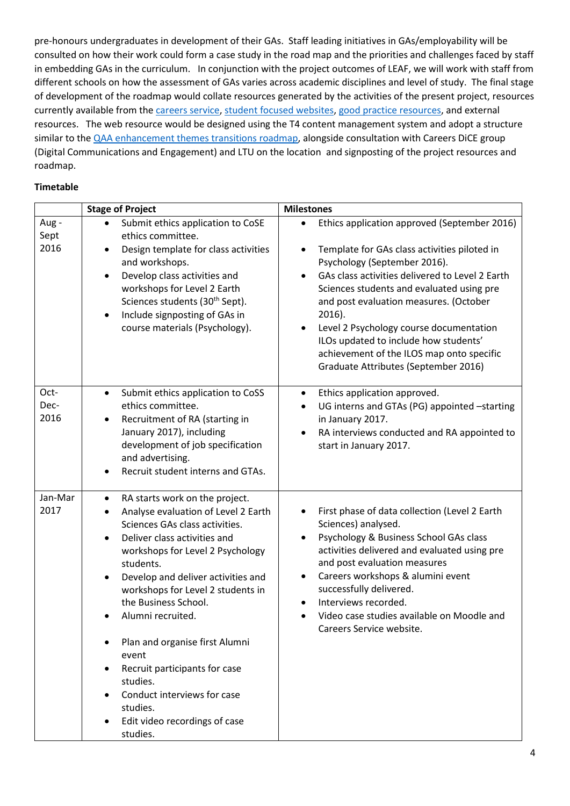pre-honours undergraduates in development of their GAs. Staff leading initiatives in GAs/employability will be consulted on how their work could form a case study in the road map and the priorities and challenges faced by staff in embedding GAs in the curriculum. In conjunction with the project outcomes of LEAF, we will work with staff from different schools on how the assessment of GAs varies across academic disciplines and level of study. The final stage of development of the roadmap would collate resources generated by the activities of the present project, resources currently available from the [careers service,](http://www.gla.ac.uk/services/careers/) [student focused websites,](http://www.gla.ac.uk/students/attributes) [good practice resources,](http://www.gla.ac.uk/services/learningteaching/resourcesforstaff/goodpracticeresources/graduateattributesemployabilityandpdp/) and external resources. The web resource would be designed using the T4 content management system and adopt a structure similar to th[e QAA enhancement themes](http://www.enhancementthemes.ac.uk/enhancement-themes/current-enhancement-theme/transitions-map) transitions roadmap, alongside consultation with Careers DiCE group (Digital Communications and Engagement) and LTU on the location and signposting of the project resources and roadmap.

#### **Timetable**

|                      | <b>Stage of Project</b>                                                                                                                                                                                                                                                                                                                                                                                                                                                                                                                                                        | <b>Milestones</b>                                                                                                                                                                                                                                                                                                                                                                                                                                                                   |
|----------------------|--------------------------------------------------------------------------------------------------------------------------------------------------------------------------------------------------------------------------------------------------------------------------------------------------------------------------------------------------------------------------------------------------------------------------------------------------------------------------------------------------------------------------------------------------------------------------------|-------------------------------------------------------------------------------------------------------------------------------------------------------------------------------------------------------------------------------------------------------------------------------------------------------------------------------------------------------------------------------------------------------------------------------------------------------------------------------------|
| Aug-<br>Sept<br>2016 | Submit ethics application to CoSE<br>$\bullet$<br>ethics committee.<br>Design template for class activities<br>$\bullet$<br>and workshops.<br>Develop class activities and<br>$\bullet$<br>workshops for Level 2 Earth<br>Sciences students (30 <sup>th</sup> Sept).<br>Include signposting of GAs in<br>$\bullet$<br>course materials (Psychology).                                                                                                                                                                                                                           | Ethics application approved (September 2016)<br>$\bullet$<br>Template for GAs class activities piloted in<br>$\bullet$<br>Psychology (September 2016).<br>GAs class activities delivered to Level 2 Earth<br>Sciences students and evaluated using pre<br>and post evaluation measures. (October<br>2016).<br>Level 2 Psychology course documentation<br>ILOs updated to include how students'<br>achievement of the ILOS map onto specific<br>Graduate Attributes (September 2016) |
| Oct-<br>Dec-<br>2016 | Submit ethics application to CoSS<br>$\bullet$<br>ethics committee.<br>Recruitment of RA (starting in<br>٠<br>January 2017), including<br>development of job specification<br>and advertising.<br>Recruit student interns and GTAs.                                                                                                                                                                                                                                                                                                                                            | Ethics application approved.<br>$\bullet$<br>UG interns and GTAs (PG) appointed -starting<br>$\bullet$<br>in January 2017.<br>RA interviews conducted and RA appointed to<br>$\bullet$<br>start in January 2017.                                                                                                                                                                                                                                                                    |
| Jan-Mar<br>2017      | RA starts work on the project.<br>$\bullet$<br>Analyse evaluation of Level 2 Earth<br>$\bullet$<br>Sciences GAs class activities.<br>Deliver class activities and<br>$\bullet$<br>workshops for Level 2 Psychology<br>students.<br>Develop and deliver activities and<br>$\bullet$<br>workshops for Level 2 students in<br>the Business School.<br>Alumni recruited.<br>Plan and organise first Alumni<br>event<br>Recruit participants for case<br>$\bullet$<br>studies.<br>Conduct interviews for case<br>studies.<br>Edit video recordings of case<br>$\bullet$<br>studies. | First phase of data collection (Level 2 Earth<br>Sciences) analysed.<br>Psychology & Business School GAs class<br>$\bullet$<br>activities delivered and evaluated using pre<br>and post evaluation measures<br>Careers workshops & alumini event<br>$\bullet$<br>successfully delivered.<br>Interviews recorded.<br>Video case studies available on Moodle and<br>Careers Service website.                                                                                          |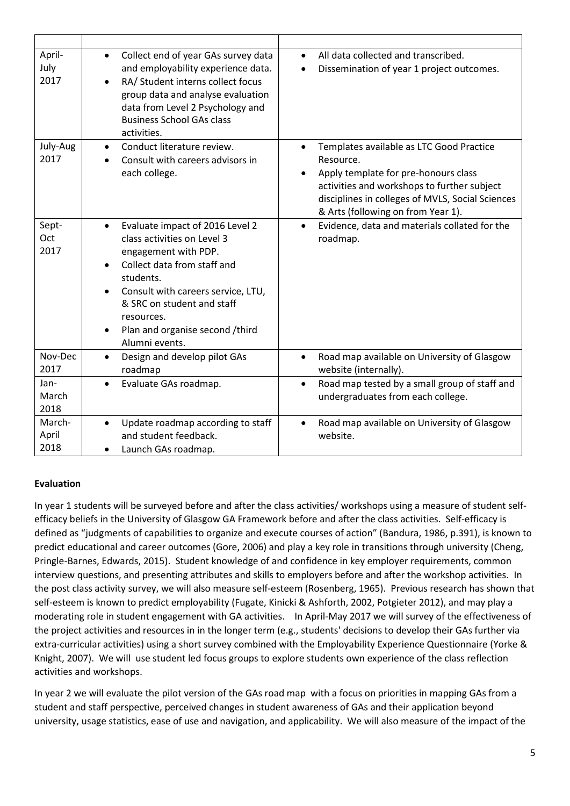| April-<br>July<br>2017  | Collect end of year GAs survey data<br>$\bullet$<br>and employability experience data.<br>RA/ Student interns collect focus<br>group data and analyse evaluation<br>data from Level 2 Psychology and<br><b>Business School GAs class</b><br>activities.                                             | All data collected and transcribed.<br>$\bullet$<br>Dissemination of year 1 project outcomes.<br>$\bullet$                                                                                                                                          |
|-------------------------|-----------------------------------------------------------------------------------------------------------------------------------------------------------------------------------------------------------------------------------------------------------------------------------------------------|-----------------------------------------------------------------------------------------------------------------------------------------------------------------------------------------------------------------------------------------------------|
| July-Aug<br>2017        | Conduct literature review.<br>$\bullet$<br>Consult with careers advisors in<br>each college.                                                                                                                                                                                                        | Templates available as LTC Good Practice<br>$\bullet$<br>Resource.<br>Apply template for pre-honours class<br>activities and workshops to further subject<br>disciplines in colleges of MVLS, Social Sciences<br>& Arts (following on from Year 1). |
| Sept-<br>Oct<br>2017    | Evaluate impact of 2016 Level 2<br>class activities on Level 3<br>engagement with PDP.<br>Collect data from staff and<br>students.<br>Consult with careers service, LTU,<br>$\bullet$<br>& SRC on student and staff<br>resources.<br>Plan and organise second /third<br>$\bullet$<br>Alumni events. | Evidence, data and materials collated for the<br>$\bullet$<br>roadmap.                                                                                                                                                                              |
| Nov-Dec<br>2017         | Design and develop pilot GAs<br>$\bullet$<br>roadmap                                                                                                                                                                                                                                                | Road map available on University of Glasgow<br>$\bullet$<br>website (internally).                                                                                                                                                                   |
| Jan-<br>March<br>2018   | Evaluate GAs roadmap.<br>$\bullet$                                                                                                                                                                                                                                                                  | Road map tested by a small group of staff and<br>$\bullet$<br>undergraduates from each college.                                                                                                                                                     |
| March-<br>April<br>2018 | Update roadmap according to staff<br>٠<br>and student feedback.<br>Launch GAs roadmap.                                                                                                                                                                                                              | Road map available on University of Glasgow<br>$\bullet$<br>website.                                                                                                                                                                                |

### **Evaluation**

In year 1 students will be surveyed before and after the class activities/ workshops using a measure of student selfefficacy beliefs in the University of Glasgow GA Framework before and after the class activities. Self-efficacy is defined as "judgments of capabilities to organize and execute courses of action" (Bandura, 1986, p.391), is known to predict educational and career outcomes (Gore, 2006) and play a key role in transitions through university (Cheng, Pringle-Barnes, Edwards, 2015). Student knowledge of and confidence in key employer requirements, common interview questions, and presenting attributes and skills to employers before and after the workshop activities. In the post class activity survey, we will also measure self-esteem (Rosenberg, 1965). Previous research has shown that self-esteem is known to predict employability (Fugate, Kinicki & Ashforth, 2002, Potgieter 2012), and may play a moderating role in student engagement with GA activities. In April-May 2017 we will survey of the effectiveness of the project activities and resources in in the longer term (e.g., students' decisions to develop their GAs further via extra-curricular activities) using a short survey combined with the Employability Experience Questionnaire (Yorke & Knight, 2007). We will use student led focus groups to explore students own experience of the class reflection activities and workshops.

In year 2 we will evaluate the pilot version of the GAs road map with a focus on priorities in mapping GAs from a student and staff perspective, perceived changes in student awareness of GAs and their application beyond university, usage statistics, ease of use and navigation, and applicability. We will also measure of the impact of the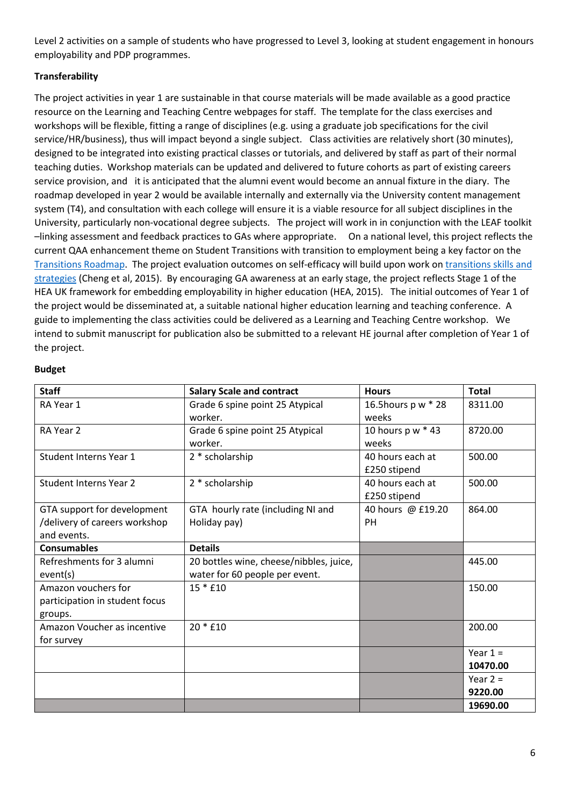Level 2 activities on a sample of students who have progressed to Level 3, looking at student engagement in honours employability and PDP programmes.

## **Transferability**

The project activities in year 1 are sustainable in that course materials will be made available as a good practice resource on the Learning and Teaching Centre webpages for staff. The template for the class exercises and workshops will be flexible, fitting a range of disciplines (e.g. using a graduate job specifications for the civil service/HR/business), thus will impact beyond a single subject. Class activities are relatively short (30 minutes), designed to be integrated into existing practical classes or tutorials, and delivered by staff as part of their normal teaching duties. Workshop materials can be updated and delivered to future cohorts as part of existing careers service provision, and it is anticipated that the alumni event would become an annual fixture in the diary. The roadmap developed in year 2 would be available internally and externally via the University content management system (T4), and consultation with each college will ensure it is a viable resource for all subject disciplines in the University, particularly non-vocational degree subjects. The project will work in in conjunction with the LEAF toolkit –linking assessment and feedback practices to GAs where appropriate. On a national level, this project reflects the current QAA enhancement theme on Student Transitions with transition to employment being a key factor on the [Transitions Roadmap.](http://www.enhancementthemes.ac.uk/docs/publications/transitions-map.pdf?sfvrsn=8) The project evaluation outcomes on self-efficacy will build upon work on [transitions skills and](http://www.enhancementthemes.ac.uk/enhancement-themes/current-enhancement-theme/transition-skills-phase-1.)  [strategies](http://www.enhancementthemes.ac.uk/enhancement-themes/current-enhancement-theme/transition-skills-phase-1.) (Cheng et al, 2015). By encouraging GA awareness at an early stage, the project reflects Stage 1 of the HEA UK framework for embedding employability in higher education (HEA, 2015). The initial outcomes of Year 1 of the project would be disseminated at, a suitable national higher education learning and teaching conference. A guide to implementing the class activities could be delivered as a Learning and Teaching Centre workshop. We intend to submit manuscript for publication also be submitted to a relevant HE journal after completion of Year 1 of the project.

#### **Budget**

| <b>Staff</b>                                                                | <b>Salary Scale and contract</b>                                          | <b>Hours</b>                     | <b>Total</b>           |
|-----------------------------------------------------------------------------|---------------------------------------------------------------------------|----------------------------------|------------------------|
| RA Year 1                                                                   | Grade 6 spine point 25 Atypical<br>worker.                                | 16.5 hours p w * 28<br>weeks     | 8311.00                |
| RA Year 2                                                                   | Grade 6 spine point 25 Atypical<br>worker.                                | 10 hours p w * 43<br>weeks       | 8720.00                |
| Student Interns Year 1                                                      | 2 * scholarship                                                           | 40 hours each at<br>£250 stipend | 500.00                 |
| <b>Student Interns Year 2</b>                                               | 2 * scholarship                                                           | 40 hours each at<br>£250 stipend | 500.00                 |
| GTA support for development<br>/delivery of careers workshop<br>and events. | GTA hourly rate (including NI and<br>Holiday pay)                         | 40 hours @ £19.20<br><b>PH</b>   | 864.00                 |
| <b>Consumables</b>                                                          | <b>Details</b>                                                            |                                  |                        |
| Refreshments for 3 alumni<br>event(s)                                       | 20 bottles wine, cheese/nibbles, juice,<br>water for 60 people per event. |                                  | 445.00                 |
| Amazon vouchers for<br>participation in student focus<br>groups.            | $15 * f10$                                                                |                                  | 150.00                 |
| Amazon Voucher as incentive<br>for survey                                   | $20 * f10$                                                                |                                  | 200.00                 |
|                                                                             |                                                                           |                                  | Year $1 =$<br>10470.00 |
|                                                                             |                                                                           |                                  | Year $2 =$<br>9220.00  |
|                                                                             |                                                                           |                                  | 19690.00               |